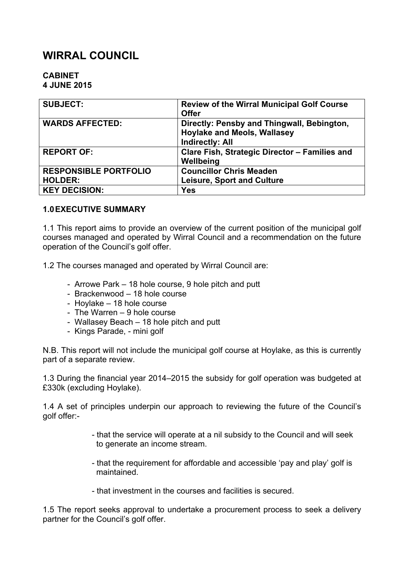# **WIRRAL COUNCIL**

#### **CABINET 4 JUNE 2015**

| <b>SUBJECT:</b>              | <b>Review of the Wirral Municipal Golf Course</b><br><b>Offer</b>                                          |
|------------------------------|------------------------------------------------------------------------------------------------------------|
| <b>WARDS AFFECTED:</b>       | Directly: Pensby and Thingwall, Bebington,<br><b>Hoylake and Meols, Wallasey</b><br><b>Indirectly: All</b> |
| <b>REPORT OF:</b>            | Clare Fish, Strategic Director - Families and<br>Wellbeing                                                 |
| <b>RESPONSIBLE PORTFOLIO</b> | <b>Councillor Chris Meaden</b>                                                                             |
| <b>HOLDER:</b>               | <b>Leisure, Sport and Culture</b>                                                                          |
| <b>KEY DECISION:</b>         | <b>Yes</b>                                                                                                 |

#### **1.0EXECUTIVE SUMMARY**

1.1 This report aims to provide an overview of the current position of the municipal golf courses managed and operated by Wirral Council and a recommendation on the future operation of the Council's golf offer.

1.2 The courses managed and operated by Wirral Council are:

- Arrowe Park 18 hole course, 9 hole pitch and putt
- Brackenwood 18 hole course
- Hoylake 18 hole course
- The Warren 9 hole course
- Wallasey Beach 18 hole pitch and putt
- Kings Parade, mini golf

N.B. This report will not include the municipal golf course at Hoylake, as this is currently part of a separate review.

1.3 During the financial year 2014–2015 the subsidy for golf operation was budgeted at £330k (excluding Hoylake).

1.4 A set of principles underpin our approach to reviewing the future of the Council's golf offer:-

- that the service will operate at a nil subsidy to the Council and will seek to generate an income stream.
- that the requirement for affordable and accessible 'pay and play' golf is maintained.
- that investment in the courses and facilities is secured.

1.5 The report seeks approval to undertake a procurement process to seek a delivery partner for the Council's golf offer.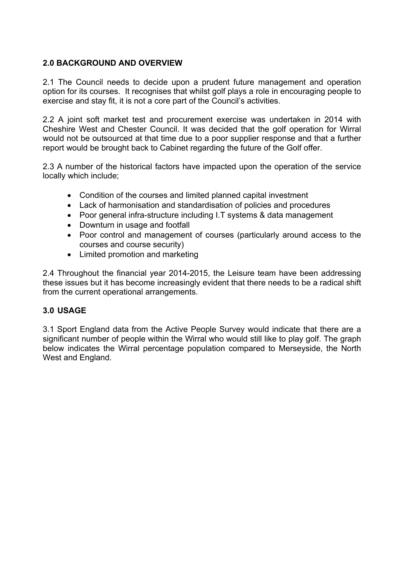# **2.0 BACKGROUND AND OVERVIEW**

2.1 The Council needs to decide upon a prudent future management and operation option for its courses. It recognises that whilst golf plays a role in encouraging people to exercise and stay fit, it is not a core part of the Council's activities.

2.2 A joint soft market test and procurement exercise was undertaken in 2014 with Cheshire West and Chester Council. It was decided that the golf operation for Wirral would not be outsourced at that time due to a poor supplier response and that a further report would be brought back to Cabinet regarding the future of the Golf offer.

2.3 A number of the historical factors have impacted upon the operation of the service locally which include;

- Condition of the courses and limited planned capital investment
- Lack of harmonisation and standardisation of policies and procedures
- Poor general infra-structure including I.T systems & data management
- Downturn in usage and footfall
- Poor control and management of courses (particularly around access to the courses and course security)
- Limited promotion and marketing

2.4 Throughout the financial year 2014-2015, the Leisure team have been addressing these issues but it has become increasingly evident that there needs to be a radical shift from the current operational arrangements.

# **3.0 USAGE**

3.1 Sport England data from the Active People Survey would indicate that there are a significant number of people within the Wirral who would still like to play golf. The graph below indicates the Wirral percentage population compared to Merseyside, the North West and England.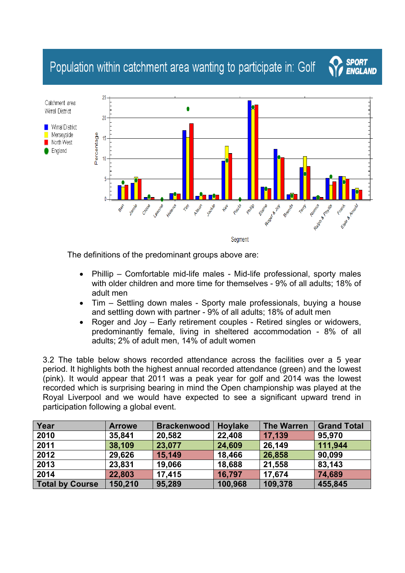# Population within catchment area wanting to participate in: Golf



Segment

**SPORT** 

**ENGLAND** 

The definitions of the predominant groups above are:

- Phillip Comfortable mid-life males Mid-life professional, sporty males with older children and more time for themselves - 9% of all adults; 18% of adult men
- Tim Settling down males Sporty male professionals, buying a house and settling down with partner - 9% of all adults; 18% of adult men
- Roger and Joy Early retirement couples Retired singles or widowers, predominantly female, living in sheltered accommodation - 8% of all adults; 2% of adult men, 14% of adult women

3.2 The table below shows recorded attendance across the facilities over a 5 year period. It highlights both the highest annual recorded attendance (green) and the lowest (pink). It would appear that 2011 was a peak year for golf and 2014 was the lowest recorded which is surprising bearing in mind the Open championship was played at the Royal Liverpool and we would have expected to see a significant upward trend in participation following a global event.

| Year                   | <b>Arrowe</b> | <b>Brackenwood</b> | <b>Hoylake</b> | <b>The Warren</b> | <b>Grand Total</b> |
|------------------------|---------------|--------------------|----------------|-------------------|--------------------|
| 2010                   | 35,841        | 20,582             | 22,408         | 17,139            | 95,970             |
| 2011                   | 38,109        | 23,077             | 24,609         | 26,149            | 111,944            |
| 2012                   | 29,626        | 15,149             | 18,466         | 26,858            | 90,099             |
| 2013                   | 23,831        | 19,066             | 18,688         | 21,558            | 83,143             |
| 2014                   | 22,803        | 17,415             | 16,797         | 17,674            | 74,689             |
| <b>Total by Course</b> | 150,210       | 95,289             | 100,968        | 109,378           | 455,845            |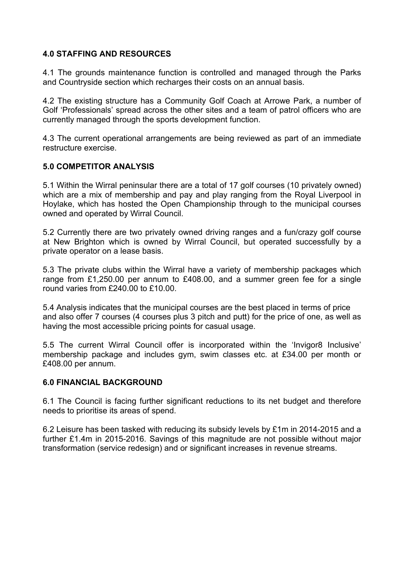#### **4.0 STAFFING AND RESOURCES**

4.1 The grounds maintenance function is controlled and managed through the Parks and Countryside section which recharges their costs on an annual basis.

4.2 The existing structure has a Community Golf Coach at Arrowe Park, a number of Golf 'Professionals' spread across the other sites and a team of patrol officers who are currently managed through the sports development function.

4.3 The current operational arrangements are being reviewed as part of an immediate restructure exercise.

#### **5.0 COMPETITOR ANALYSIS**

5.1 Within the Wirral peninsular there are a total of 17 golf courses (10 privately owned) which are a mix of membership and pay and play ranging from the Royal Liverpool in Hoylake, which has hosted the Open Championship through to the municipal courses owned and operated by Wirral Council.

5.2 Currently there are two privately owned driving ranges and a fun/crazy golf course at New Brighton which is owned by Wirral Council, but operated successfully by a private operator on a lease basis.

5.3 The private clubs within the Wirral have a variety of membership packages which range from £1,250.00 per annum to £408.00, and a summer green fee for a single round varies from £240.00 to £10.00.

5.4 Analysis indicates that the municipal courses are the best placed in terms of price and also offer 7 courses (4 courses plus 3 pitch and putt) for the price of one, as well as having the most accessible pricing points for casual usage.

5.5 The current Wirral Council offer is incorporated within the 'Invigor8 Inclusive' membership package and includes gym, swim classes etc. at £34.00 per month or £408.00 per annum.

#### **6.0 FINANCIAL BACKGROUND**

6.1 The Council is facing further significant reductions to its net budget and therefore needs to prioritise its areas of spend.

6.2 Leisure has been tasked with reducing its subsidy levels by £1m in 2014-2015 and a further £1.4m in 2015-2016. Savings of this magnitude are not possible without major transformation (service redesign) and or significant increases in revenue streams.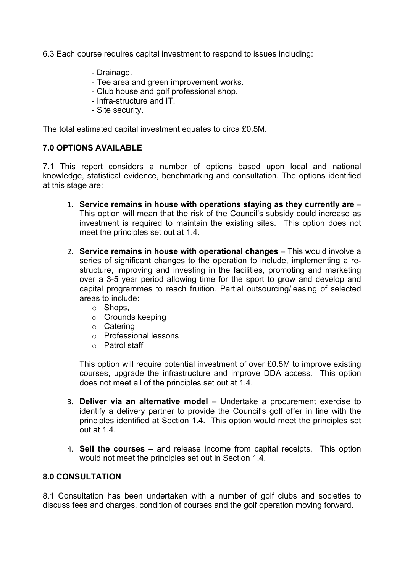6.3 Each course requires capital investment to respond to issues including:

- Drainage.
- Tee area and green improvement works.
- Club house and golf professional shop.
- Infra-structure and IT.
- Site security.

The total estimated capital investment equates to circa £0.5M.

# **7.0 OPTIONS AVAILABLE**

7.1 This report considers a number of options based upon local and national knowledge, statistical evidence, benchmarking and consultation. The options identified at this stage are:

- 1. **Service remains in house with operations staying as they currently are** This option will mean that the risk of the Council's subsidy could increase as investment is required to maintain the existing sites. This option does not meet the principles set out at 1.4.
- 2. **Service remains in house with operational changes** This would involve a series of significant changes to the operation to include, implementing a restructure, improving and investing in the facilities, promoting and marketing over a 3-5 year period allowing time for the sport to grow and develop and capital programmes to reach fruition. Partial outsourcing/leasing of selected areas to include:
	- o Shops,
	- o Grounds keeping
	- o Catering
	- o Professional lessons
	- o Patrol staff

This option will require potential investment of over £0.5M to improve existing courses, upgrade the infrastructure and improve DDA access. This option does not meet all of the principles set out at 1.4.

- 3. **Deliver via an alternative model** Undertake a procurement exercise to identify a delivery partner to provide the Council's golf offer in line with the principles identified at Section 1.4. This option would meet the principles set out at 1.4.
- 4. **Sell the courses** and release income from capital receipts. This option would not meet the principles set out in Section 1.4.

#### **8.0 CONSULTATION**

8.1 Consultation has been undertaken with a number of golf clubs and societies to discuss fees and charges, condition of courses and the golf operation moving forward.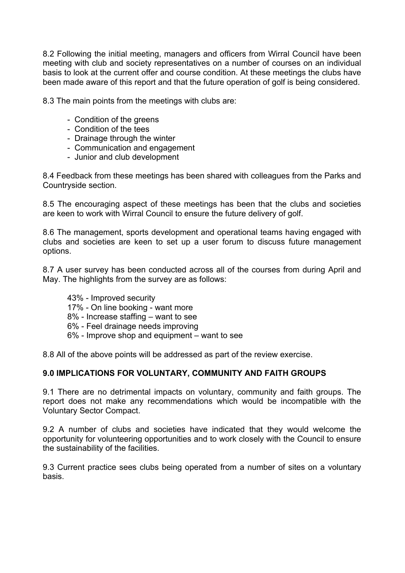8.2 Following the initial meeting, managers and officers from Wirral Council have been meeting with club and society representatives on a number of courses on an individual basis to look at the current offer and course condition. At these meetings the clubs have been made aware of this report and that the future operation of golf is being considered.

8.3 The main points from the meetings with clubs are:

- Condition of the greens
- Condition of the tees
- Drainage through the winter
- Communication and engagement
- Junior and club development

8.4 Feedback from these meetings has been shared with colleagues from the Parks and Countryside section.

8.5 The encouraging aspect of these meetings has been that the clubs and societies are keen to work with Wirral Council to ensure the future delivery of golf.

8.6 The management, sports development and operational teams having engaged with clubs and societies are keen to set up a user forum to discuss future management options.

8.7 A user survey has been conducted across all of the courses from during April and May. The highlights from the survey are as follows:

- 43% Improved security
- 17% On line booking want more
- 8% Increase staffing want to see
- 6% Feel drainage needs improving
- 6% Improve shop and equipment want to see

8.8 All of the above points will be addressed as part of the review exercise.

#### **9.0 IMPLICATIONS FOR VOLUNTARY, COMMUNITY AND FAITH GROUPS**

9.1 There are no detrimental impacts on voluntary, community and faith groups. The report does not make any recommendations which would be incompatible with the Voluntary Sector Compact.

9.2 A number of clubs and societies have indicated that they would welcome the opportunity for volunteering opportunities and to work closely with the Council to ensure the sustainability of the facilities.

9.3 Current practice sees clubs being operated from a number of sites on a voluntary basis.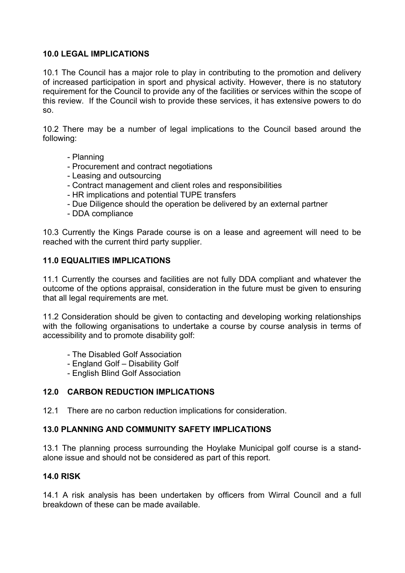### **10.0 LEGAL IMPLICATIONS**

10.1 The Council has a major role to play in contributing to the promotion and delivery of increased participation in sport and physical activity. However, there is no statutory requirement for the Council to provide any of the facilities or services within the scope of this review. If the Council wish to provide these services, it has extensive powers to do so.

10.2 There may be a number of legal implications to the Council based around the following:

- Planning
- Procurement and contract negotiations
- Leasing and outsourcing
- Contract management and client roles and responsibilities
- HR implications and potential TUPE transfers
- Due Diligence should the operation be delivered by an external partner
- DDA compliance

10.3 Currently the Kings Parade course is on a lease and agreement will need to be reached with the current third party supplier.

#### **11.0 EQUALITIES IMPLICATIONS**

11.1 Currently the courses and facilities are not fully DDA compliant and whatever the outcome of the options appraisal, consideration in the future must be given to ensuring that all legal requirements are met.

11.2 Consideration should be given to contacting and developing working relationships with the following organisations to undertake a course by course analysis in terms of accessibility and to promote disability golf:

- The Disabled Golf Association
- England Golf Disability Golf
- English Blind Golf Association

# **12.0 CARBON REDUCTION IMPLICATIONS**

12.1 There are no carbon reduction implications for consideration.

#### **13.0 PLANNING AND COMMUNITY SAFETY IMPLICATIONS**

13.1 The planning process surrounding the Hoylake Municipal golf course is a standalone issue and should not be considered as part of this report.

#### **14.0 RISK**

14.1 A risk analysis has been undertaken by officers from Wirral Council and a full breakdown of these can be made available.